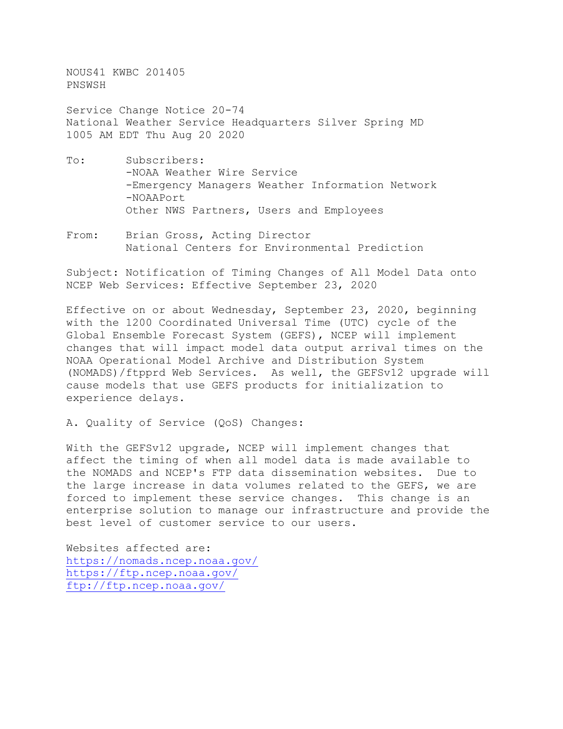NOUS41 KWBC 201405 PNSWSH

Service Change Notice 20-74 National Weather Service Headquarters Silver Spring MD 1005 AM EDT Thu Aug 20 2020

- To: Subscribers: -NOAA Weather Wire Service -Emergency Managers Weather Information Network -NOAAPort Other NWS Partners, Users and Employees
- From: Brian Gross, Acting Director National Centers for Environmental Prediction

Subject: Notification of Timing Changes of All Model Data onto NCEP Web Services: Effective September 23, 2020

Effective on or about Wednesday, September 23, 2020, beginning with the 1200 Coordinated Universal Time (UTC) cycle of the Global Ensemble Forecast System (GEFS), NCEP will implement changes that will impact model data output arrival times on the NOAA Operational Model Archive and Distribution System (NOMADS)/ftpprd Web Services. As well, the GEFSv12 upgrade will cause models that use GEFS products for initialization to experience delays.

A. Quality of Service (QoS) Changes:

With the GEFSv12 upgrade, NCEP will implement changes that affect the timing of when all model data is made available to the NOMADS and NCEP's FTP data dissemination websites. Due to the large increase in data volumes related to the GEFS, we are forced to implement these service changes. This change is an enterprise solution to manage our infrastructure and provide the best level of customer service to our users.

Websites affected are: <https://nomads.ncep.noaa.gov/> <https://ftp.ncep.noaa.gov/> <ftp://ftp.ncep.noaa.gov/>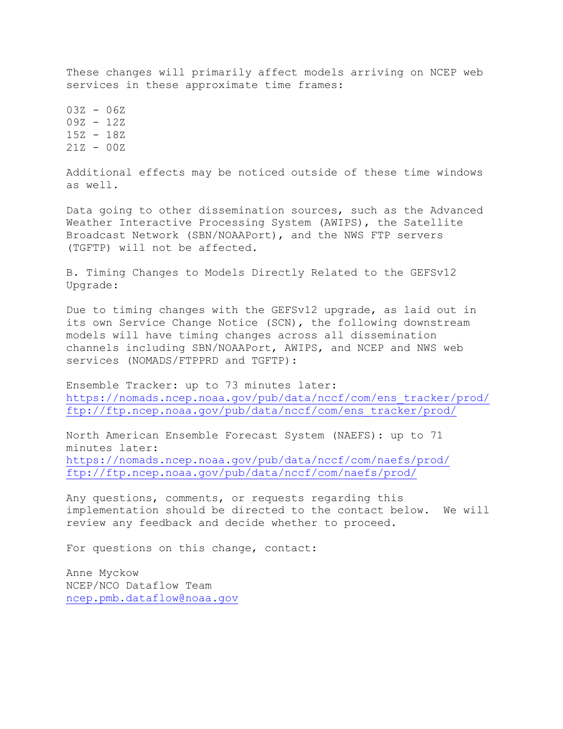These changes will primarily affect models arriving on NCEP web services in these approximate time frames:

 $03Z - 06Z$ 09Z - 12Z 15Z - 18Z 21Z - 00Z

Additional effects may be noticed outside of these time windows as well.

Data going to other dissemination sources, such as the Advanced Weather Interactive Processing System (AWIPS), the Satellite Broadcast Network (SBN/NOAAPort), and the NWS FTP servers (TGFTP) will not be affected.

B. Timing Changes to Models Directly Related to the GEFSv12 Upgrade:

Due to timing changes with the GEFSv12 upgrade, as laid out in its own Service Change Notice (SCN), the following downstream models will have timing changes across all dissemination channels including SBN/NOAAPort, AWIPS, and NCEP and NWS web services (NOMADS/FTPPRD and TGFTP):

Ensemble Tracker: up to 73 minutes later: [https://nomads.ncep.noaa.gov/pub/data/nccf/com/ens\\_tracker/prod/](https://nomads.ncep.noaa.gov/pub/data/nccf/com/ens_tracker/prod/) [ftp://ftp.ncep.noaa.gov/pub/data/nccf/com/ens\\_tracker/prod/](ftp://ftp.ncep.noaa.gov/pub/data/nccf/com/ens_tracker/prod/)

North American Ensemble Forecast System (NAEFS): up to 71 minutes later: <https://nomads.ncep.noaa.gov/pub/data/nccf/com/naefs/prod/> <ftp://ftp.ncep.noaa.gov/pub/data/nccf/com/naefs/prod/>

Any questions, comments, or requests regarding this implementation should be directed to the contact below. We will review any feedback and decide whether to proceed.

For questions on this change, contact:

Anne Myckow NCEP/NCO Dataflow Team [ncep.pmb.dataflow@noaa.gov](mailto:ncep.pmb.dataflow@noaa.gov)